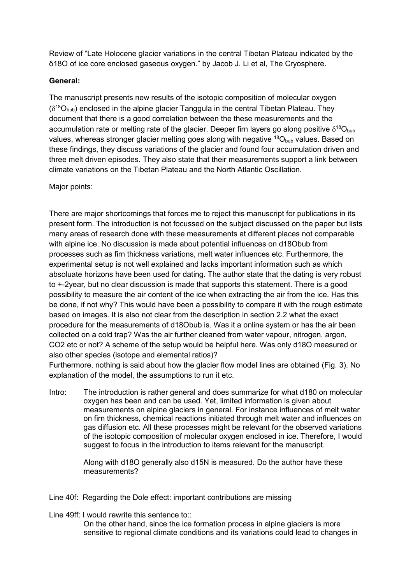Review of "Late Holocene glacier variations in the central Tibetan Plateau indicated by the δ18O of ice core enclosed gaseous oxygen." by Jacob J. Li et al, The Cryosphere.

## **General:**

The manuscript presents new results of the isotopic composition of molecular oxygen  $(\delta^{18}O_{\text{bub}})$  enclosed in the alpine glacier Tanggula in the central Tibetan Plateau. They document that there is a good correlation between the these measurements and the accumulation rate or melting rate of the glacier. Deeper firn layers go along positive  $\delta^{18}O_{\text{bub}}$ values, whereas stronger glacier melting goes along with negative  $^{18}O_{\text{bub}}$  values. Based on these findings, they discuss variations of the glacier and found four accumulation driven and three melt driven episodes. They also state that their measurements support a link between climate variations on the Tibetan Plateau and the North Atlantic Oscillation.

## Major points:

There are major shortcomings that forces me to reject this manuscript for publications in its present form. The introduction is not focussed on the subject discussed on the paper but lists many areas of research done with these measurements at different places not comparable with alpine ice. No discussion is made about potential influences on d18Obub from processes such as firn thickness variations, melt water influences etc. Furthermore, the experimental setup is not well explained and lacks important information such as which absoluate horizons have been used for dating. The author state that the dating is very robust to +-2year, but no clear discussion is made that supports this statement. There is a good possibility to measure the air content of the ice when extracting the air from the ice. Has this be done, if not why? This would have been a possibility to compare it with the rough estimate based on images. It is also not clear from the description in section 2.2 what the exact procedure for the measurements of d18Obub is. Was it a online system or has the air been collected on a cold trap? Was the air further cleaned from water vapour, nitrogen, argon, CO2 etc or not? A scheme of the setup would be helpful here. Was only d18O measured or also other species (isotope and elemental ratios)?

Furthermore, nothing is said about how the glacier flow model lines are obtained (Fig. 3). No explanation of the model, the assumptions to run it etc.

Intro: The introduction is rather general and does summarize for what d180 on molecular oxygen has been and can be used. Yet, limited information is given about measurements on alpine glaciers in general. For instance influences of melt water on firn thickness, chemical reactions initiated through melt water and influences on gas diffusion etc. All these processes might be relevant for the observed variations of the isotopic composition of molecular oxygen enclosed in ice. Therefore, I would suggest to focus in the introduction to items relevant for the manuscript.

> Along with d18O generally also d15N is measured. Do the author have these measurements?

- Line 40f: Regarding the Dole effect: important contributions are missing
- Line 49ff: Lwould rewrite this sentence to:

On the other hand, since the ice formation process in alpine glaciers is more sensitive to regional climate conditions and its variations could lead to changes in